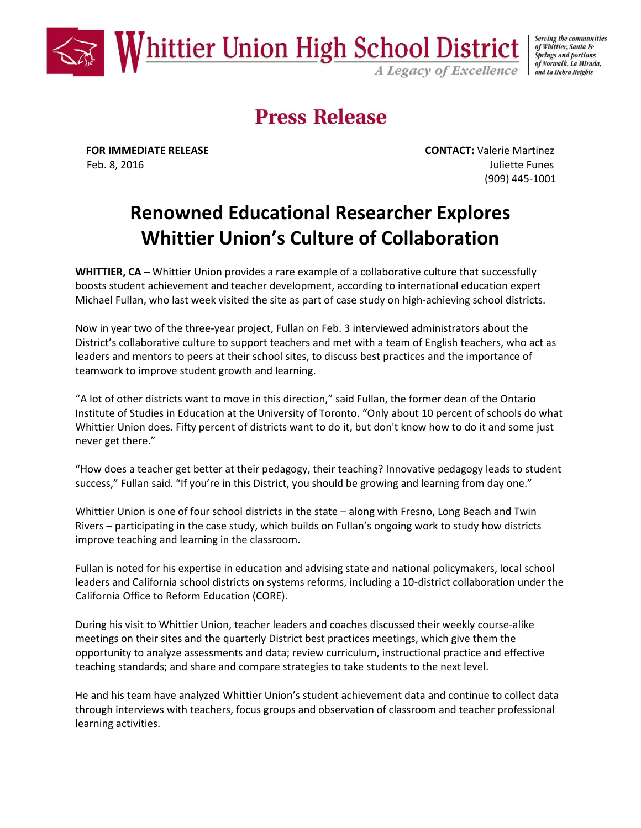

Serving the communities of Whittier, Santa Fe **Springs and portions** of Norwalk, La Mirada, and La Habra Heights

# **Press Release**

**FOR IMMEDIATE RELEASE CONTACT:** Valerie Martinez Feb. 8, 2016 **Juliette Funes** (909) 445-1001

## **Renowned Educational Researcher Explores Whittier Union's Culture of Collaboration**

**WHITTIER, CA** – Whittier Union provides a rare example of a collaborative culture that successfully boosts student achievement and teacher development, according to international education expert Michael Fullan, who last week visited the site as part of case study on high-achieving school districts.

Now in year two of the three-year project, Fullan on Feb. 3 interviewed administrators about the District's collaborative culture to support teachers and met with a team of English teachers, who act as leaders and mentors to peers at their school sites, to discuss best practices and the importance of teamwork to improve student growth and learning.

"A lot of other districts want to move in this direction," said Fullan, the former dean of the Ontario Institute of Studies in Education at the University of Toronto. "Only about 10 percent of schools do what Whittier Union does. Fifty percent of districts want to do it, but don't know how to do it and some just never get there."

"How does a teacher get better at their pedagogy, their teaching? Innovative pedagogy leads to student success," Fullan said. "If you're in this District, you should be growing and learning from day one."

Whittier Union is one of four school districts in the state – along with Fresno, Long Beach and Twin Rivers – participating in the case study, which builds on Fullan's ongoing work to study how districts improve teaching and learning in the classroom.

Fullan is noted for his expertise in education and advising state and national policymakers, local school leaders and California school districts on systems reforms, including a 10-district collaboration under the California Office to Reform Education (CORE).

During his visit to Whittier Union, teacher leaders and coaches discussed their weekly course-alike meetings on their sites and the quarterly District best practices meetings, which give them the opportunity to analyze assessments and data; review curriculum, instructional practice and effective teaching standards; and share and compare strategies to take students to the next level.

He and his team have analyzed Whittier Union's student achievement data and continue to collect data through interviews with teachers, focus groups and observation of classroom and teacher professional learning activities.